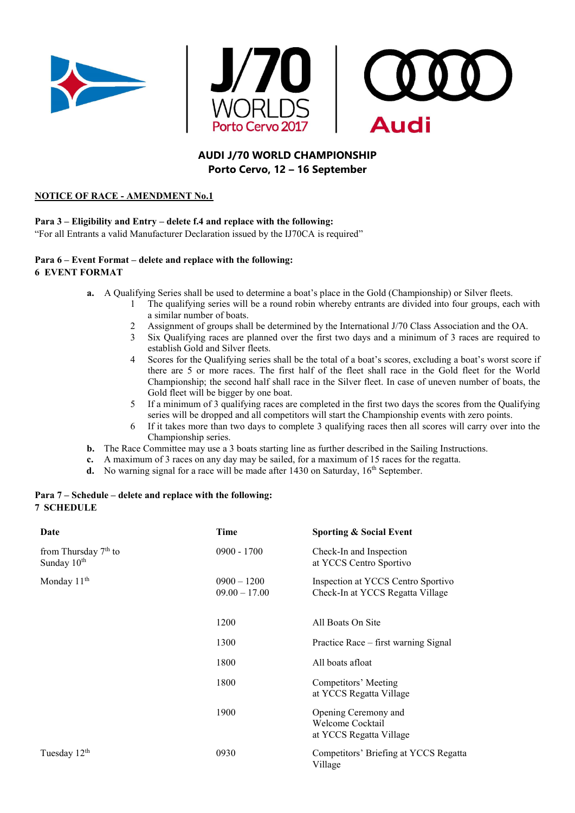





# **AUDI J/70 WORLD CHAMPIONSHIP Porto Cervo, 12 – 16 September**

### **NOTICE OF RACE - AMENDMENT No.1**

#### **Para 3 – Eligibility and Entry – delete f.4 and replace with the following:**

"For all Entrants a valid Manufacturer Declaration issued by the IJ70CA is required"

#### **Para 6 – Event Format – delete and replace with the following: 6 EVENT FORMAT**

- **a.** A Qualifying Series shall be used to determine a boat's place in the Gold (Championship) or Silver fleets.
	- 1 The qualifying series will be a round robin whereby entrants are divided into four groups, each with a similar number of boats.
	- 2 Assignment of groups shall be determined by the International J/70 Class Association and the OA.
	- 3 Six Qualifying races are planned over the first two days and a minimum of 3 races are required to establish Gold and Silver fleets.
	- 4 Scores for the Qualifying series shall be the total of a boat's scores, excluding a boat's worst score if there are 5 or more races. The first half of the fleet shall race in the Gold fleet for the World Championship; the second half shall race in the Silver fleet. In case of uneven number of boats, the Gold fleet will be bigger by one boat.
	- 5 If a minimum of 3 qualifying races are completed in the first two days the scores from the Qualifying series will be dropped and all competitors will start the Championship events with zero points.
	- 6 If it takes more than two days to complete 3 qualifying races then all scores will carry over into the Championship series.
- **b.** The Race Committee may use a 3 boats starting line as further described in the Sailing Instructions.
- **c.** A maximum of 3 races on any day may be sailed, for a maximum of 15 races for the regatta.
- **d.** No warning signal for a race will be made after 1430 on Saturday, 16<sup>th</sup> September.

## **Para 7 – Schedule – delete and replace with the following: 7 SCHEDULE**

| Date                                              | Time                             | Sporting & Social Event                                                |
|---------------------------------------------------|----------------------------------|------------------------------------------------------------------------|
| from Thursday $7th$ to<br>Sunday 10 <sup>th</sup> | $0900 - 1700$                    | Check-In and Inspection<br>at YCCS Centro Sportivo                     |
| Monday 11 <sup>th</sup>                           | $0900 - 1200$<br>$09.00 - 17.00$ | Inspection at YCCS Centro Sportivo<br>Check-In at YCCS Regatta Village |
|                                                   | 1200                             | All Boats On Site                                                      |
|                                                   | 1300                             | Practice Race – first warning Signal                                   |
|                                                   | 1800                             | All boats afloat                                                       |
|                                                   | 1800                             | Competitors' Meeting<br>at YCCS Regatta Village                        |
|                                                   | 1900                             | Opening Ceremony and<br>Welcome Cocktail<br>at YCCS Regatta Village    |
| Tuesday 12 <sup>th</sup>                          | 0930                             | Competitors' Briefing at YCCS Regatta<br>Village                       |